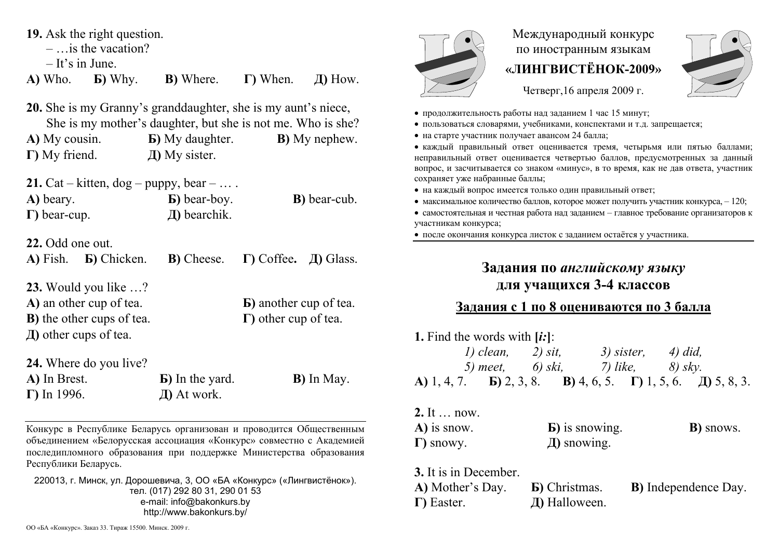|  |  |  |  | 19. Ask the right question. |
|--|--|--|--|-----------------------------|
|--|--|--|--|-----------------------------|

 $-$  is the vacation?

– It's in June.

**A)** Who. **Б)** Why. **В)** Where. **Г)** When. **Д)** How.

**20.** She is my Granny's granddaughter, she is my aunt's niece, She is my mother's daughter, but she is not me. Who is she? **A)** My cousin. **Б)** My daughter. **В)** My nephew. **Г)** My friend. **Д)** My sister.

| <b>21.</b> Cat – kitten, $\deg$ – puppy, bear – |                      |                      |
|-------------------------------------------------|----------------------|----------------------|
| A) beary.                                       | <b>b</b> ) bear-boy. | <b>B</b> ) bear-cub. |
| $\Gamma$ ) bear-cup.                            | $\pi$ ) bearchik.    |                      |

**22.** Odd one out.

| A) Fish. <b>b</b> ) Chicken. <b>b</b> ) Cheese. <b><math>\Gamma</math></b> ) Coffee. <b>J</b> ) Glass. |                                |  |
|--------------------------------------------------------------------------------------------------------|--------------------------------|--|
| <b>23.</b> Would you like $\ldots$ ?                                                                   |                                |  |
| A) an other cup of tea.                                                                                | <b>b</b> ) another cup of tea. |  |

**Г)** other cup of tea.

**В)** the other cups of tea.

**Д)** other cups of tea.

| 24. Where do you live? |                         |                    |
|------------------------|-------------------------|--------------------|
| A) In Brest.           | <b>B</b> ) In the yard. | <b>B</b> ) In May. |
| $\Gamma$ ) In 1996.    | $\pi$ ) At work.        |                    |

Конкурс в Республике Беларусь организован и проводится Общественным объединением «Белорусская ассоциация «Конкурс» совместно <sup>с</sup> Академией последипломного образования при поддержке Министерства образования Республики Беларусь.

220013, <sup>г</sup>. Минск, ул. Дорошевича, 3, ОО «БА «Конкурс» («Лингвистёнок»). тел. (017) 292 80 31, 290 01 53 e-mail: info@bakonkurs.by http://www.bakonkurs.by/



Международный конкурс по иностранным языкам **«ЛИНГВИСТЁНОК-2009»** 



Четверг,16 апреля 2009 г.

- продолжительность работы над заданием 1 час 15 минут;
- пользоваться словарями, учебниками, конспектами и <sup>т</sup>.д. запрещается;
- на старте участник получает авансом 24 балла;

 каждый правильный ответ оценивается тремя, четырьмя или пятью баллами; неправильный ответ оценивается четвертью баллов, предусмотренных за данный вопрос, <sup>и</sup> засчитывается со знаком «минус», <sup>в</sup> то время, как не дав ответа, участник сохраняет уже набранные баллы;

- на каждый вопрос имеется только один правильный ответ;
- максимальное количество баллов, которое может получить участник конкурса,  $-120$ ;
- самостоятельная и честная работа над заданием главное требование организаторов к участникам конкурса;

после окончания конкурса листок <sup>с</sup> заданием остаётся у участника.

## **Задания по** *английскому языку* **для учащихся 3-4 классов**

## **Задания <sup>с</sup> 1 по 8 оцениваются по 3 балла**

| 1. Find the words with $[i!]$ :                                                                    |                           |            |         |
|----------------------------------------------------------------------------------------------------|---------------------------|------------|---------|
|                                                                                                    | $1)$ clean, $2)$ sit,     | 3) sister, | 4) did, |
|                                                                                                    | 5) meet, 6) ski, 7) like, |            | 8) skv. |
| <b>A)</b> 1, 4, 7. <b>b</b> ) 2, 3, 8. <b>B</b> ) 4, 6, 5. <b>F</b> ) 1, 5, 6. <b>J</b> ) 5, 8, 3. |                           |            |         |

## 2. It  $\qquad$  now **A)** is snow. **Б)** is snowing. **В)** snows. **Г)** snowy. **Д)** snowing.

**3.** It is in December. **А)** Mother's Day. **Б)** Christmas. **В)** Independence Day. **Г)** Easter. **Д)** Halloween.